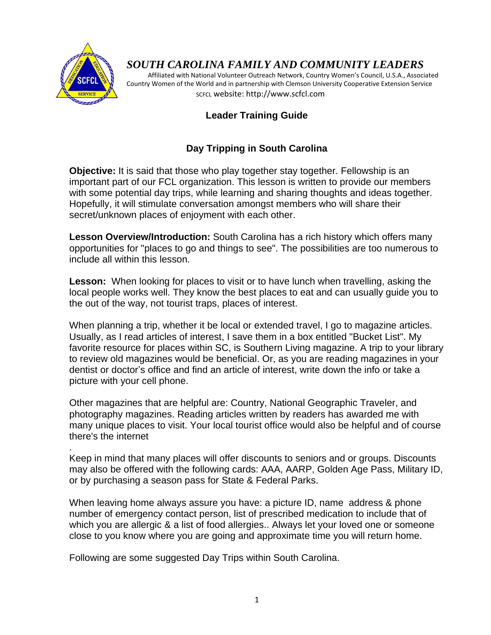

.

# *SOUTH CAROLINA FAMILY AND COMMUNITY LEADERS*

 Affiliated with National Volunteer Outreach Network, Country Women's Council, U.S.A., Associated Country Women of the World and in partnership with Clemson University Cooperative Extension Service SCFCL website: http://www.scfcl.com

# **Leader Training Guide**

# **Day Tripping in South Carolina**

**Objective:** It is said that those who play together stay together. Fellowship is an important part of our FCL organization. This lesson is written to provide our members with some potential day trips, while learning and sharing thoughts and ideas together. Hopefully, it will stimulate conversation amongst members who will share their secret/unknown places of enjoyment with each other.

**Lesson Overview/Introduction:** South Carolina has a rich history which offers many opportunities for "places to go and things to see". The possibilities are too numerous to include all within this lesson.

**Lesson:** When looking for places to visit or to have lunch when travelling, asking the local people works well. They know the best places to eat and can usually guide you to the out of the way, not tourist traps, places of interest.

When planning a trip, whether it be local or extended travel, I go to magazine articles. Usually, as I read articles of interest, I save them in a box entitled "Bucket List". My favorite resource for places within SC, is Southern Living magazine. A trip to your library to review old magazines would be beneficial. Or, as you are reading magazines in your dentist or doctor's office and find an article of interest, write down the info or take a picture with your cell phone.

Other magazines that are helpful are: Country, National Geographic Traveler, and photography magazines. Reading articles written by readers has awarded me with many unique places to visit. Your local tourist office would also be helpful and of course there's the internet

Keep in mind that many places will offer discounts to seniors and or groups. Discounts may also be offered with the following cards: AAA, AARP, Golden Age Pass, Military ID, or by purchasing a season pass for State & Federal Parks.

When leaving home always assure you have: a picture ID, name address & phone number of emergency contact person, list of prescribed medication to include that of which you are allergic & a list of food allergies.. Always let your loved one or someone close to you know where you are going and approximate time you will return home.

Following are some suggested Day Trips within South Carolina.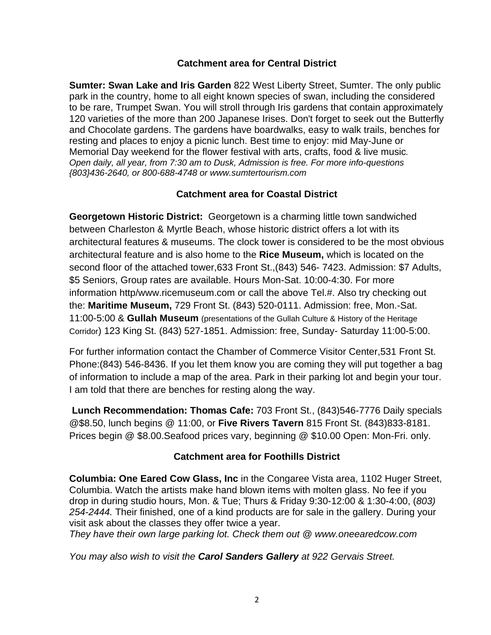#### **Catchment area for Central District**

**Sumter: Swan Lake and Iris Garden** 822 West Liberty Street, Sumter. The only public park in the country, home to all eight known species of swan, including the considered to be rare, Trumpet Swan. You will stroll through Iris gardens that contain approximately 120 varieties of the more than 200 Japanese Irises. Don't forget to seek out the Butterfly and Chocolate gardens. The gardens have boardwalks, easy to walk trails, benches for resting and places to enjoy a picnic lunch. Best time to enjoy: mid May-June or Memorial Day weekend for the flower festival with arts, crafts, food & live music*. Open daily, all year, from 7:30 am to Dusk, Admission is free. For more info-questions {803}436-2640, or 800-688-4748 or www.sumtertourism.com*

### **Catchment area for Coastal District**

**Georgetown Historic District:** Georgetown is a charming little town sandwiched between Charleston & Myrtle Beach, whose historic district offers a lot with its architectural features & museums. The clock tower is considered to be the most obvious architectural feature and is also home to the **Rice Museum,** which is located on the second floor of the attached tower,633 Front St.,(843) 546- 7423. Admission: \$7 Adults, \$5 Seniors, Group rates are available. Hours Mon-Sat. 10:00-4:30. For more information http/www.ricemuseum.com or call the above Tel.#. Also try checking out the: **Maritime Museum,** 729 Front St. (843) 520-0111. Admission: free, Mon.-Sat. 11:00-5:00 & **Gullah Museum** (presentations of the Gullah Culture & History of the Heritage Corridor) 123 King St. (843) 527-1851. Admission: free, Sunday- Saturday 11:00-5:00.

For further information contact the Chamber of Commerce Visitor Center,531 Front St. Phone:(843) 546-8436. If you let them know you are coming they will put together a bag of information to include a map of the area. Park in their parking lot and begin your tour. I am told that there are benches for resting along the way.

**Lunch Recommendation: Thomas Cafe:** 703 Front St., (843)546-7776 Daily specials @\$8.50, lunch begins @ 11:00, or **Five Rivers Tavern** 815 Front St. (843)833-8181. Prices begin @ \$8.00.Seafood prices vary, beginning @ \$10.00 Open: Mon-Fri. only.

#### **Catchment area for Foothills District**

**Columbia: One Eared Cow Glass, Inc** in the Congaree Vista area, 1102 Huger Street, Columbia. Watch the artists make hand blown items with molten glass. No fee if you drop in during studio hours, Mon. & Tue; Thurs & Friday 9:30-12:00 & 1:30-4:00, (*803) 254-2444.* Their finished, one of a kind products are for sale in the gallery. During your visit ask about the classes they offer twice a year.

*They have their own large parking lot. Check them out @ www.oneearedcow.com*

*You may also wish to visit the Carol Sanders Gallery at 922 Gervais Street.*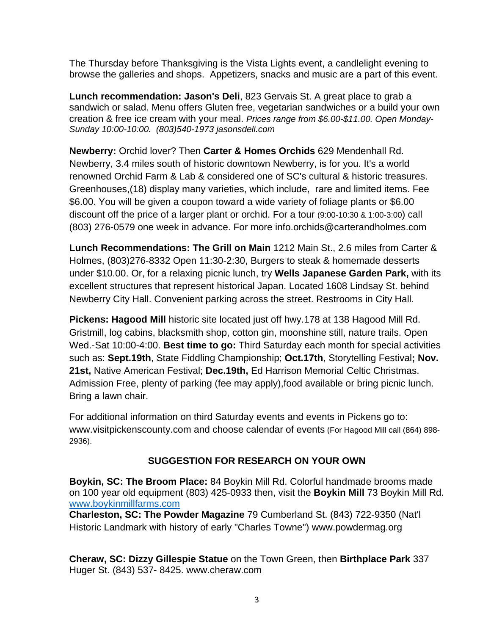The Thursday before Thanksgiving is the Vista Lights event, a candlelight evening to browse the galleries and shops. Appetizers, snacks and music are a part of this event.

**Lunch recommendation: Jason's Deli**, 823 Gervais St. A great place to grab a sandwich or salad. Menu offers Gluten free, vegetarian sandwiches or a build your own creation & free ice cream with your meal. *Prices range from \$6.00-\$11.00. Open Monday-Sunday 10:00-10:00. (803)540-1973 jasonsdeli.com*

**Newberry:** Orchid lover? Then **Carter & Homes Orchids** 629 Mendenhall Rd. Newberry, 3.4 miles south of historic downtown Newberry, is for you. It's a world renowned Orchid Farm & Lab & considered one of SC's cultural & historic treasures. Greenhouses,(18) display many varieties, which include, rare and limited items. Fee \$6.00. You will be given a coupon toward a wide variety of foliage plants or \$6.00 discount off the price of a larger plant or orchid. For a tour (9:00-10:30 & 1:00-3:00) call (803) 276-0579 one week in advance. For more info.orchids@carterandholmes.com

**Lunch Recommendations: The Grill on Main** 1212 Main St., 2.6 miles from Carter & Holmes, (803)276-8332 Open 11:30-2:30, Burgers to steak & homemade desserts under \$10.00. Or, for a relaxing picnic lunch, try **Wells Japanese Garden Park,** with its excellent structures that represent historical Japan. Located 1608 Lindsay St. behind Newberry City Hall. Convenient parking across the street. Restrooms in City Hall.

**Pickens: Hagood Mill** historic site located just off hwy.178 at 138 Hagood Mill Rd. Gristmill, log cabins, blacksmith shop, cotton gin, moonshine still, nature trails. Open Wed.-Sat 10:00-4:00. **Best time to go:** Third Saturday each month for special activities such as: **Sept.19th**, State Fiddling Championship; **Oct.17th**, Storytelling Festival**; Nov. 21st,** Native American Festival; **Dec.19th,** Ed Harrison Memorial Celtic Christmas. Admission Free, plenty of parking (fee may apply),food available or bring picnic lunch. Bring a lawn chair.

For additional information on third Saturday events and events in Pickens go to: www.visitpickenscounty.com and choose calendar of events (For Hagood Mill call (864) 898- 2936).

# **SUGGESTION FOR RESEARCH ON YOUR OWN**

**Boykin, SC: The Broom Place:** 84 Boykin Mill Rd. Colorful handmade brooms made on 100 year old equipment (803) 425-0933 then, visit the **Boykin Mill** 73 Boykin Mill Rd. [www.boykinmillfarms.com](http://www.boykinmillfarms.com/)

**Charleston, SC: The Powder Magazine** 79 Cumberland St. (843) 722-9350 (Nat'l Historic Landmark with history of early "Charles Towne") www.powdermag.org

**Cheraw, SC: Dizzy Gillespie Statue** on the Town Green, then **Birthplace Park** 337 Huger St. (843) 537- 8425. www.cheraw.com